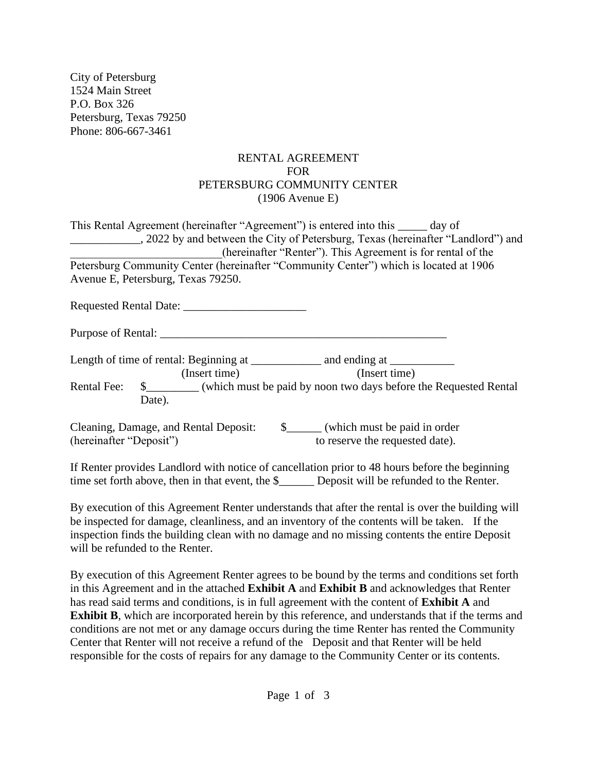City of Petersburg 1524 Main Street P.O. Box 326 Petersburg, Texas 79250 Phone: 806-667-3461

## RENTAL AGREEMENT FOR PETERSBURG COMMUNITY CENTER (1906 Avenue E)

| This Rental Agreement (hereinafter "Agreement") is entered into this ______ day of<br>2022 by and between the City of Petersburg, Texas (hereinafter "Landlord") and<br>(hereinafter "Renter"). This Agreement is for rental of the |
|-------------------------------------------------------------------------------------------------------------------------------------------------------------------------------------------------------------------------------------|
| Petersburg Community Center (hereinafter "Community Center") which is located at 1906                                                                                                                                               |
| Avenue E, Petersburg, Texas 79250.                                                                                                                                                                                                  |
|                                                                                                                                                                                                                                     |
|                                                                                                                                                                                                                                     |
|                                                                                                                                                                                                                                     |
|                                                                                                                                                                                                                                     |
|                                                                                                                                                                                                                                     |
|                                                                                                                                                                                                                                     |
| (Insert time)<br>(Insert time)                                                                                                                                                                                                      |
| Rental Fee: \$_________ (which must be paid by noon two days before the Requested Rental                                                                                                                                            |
| Date).                                                                                                                                                                                                                              |
|                                                                                                                                                                                                                                     |
|                                                                                                                                                                                                                                     |
| (hereinafter "Deposit")<br>to reserve the requested date).                                                                                                                                                                          |
|                                                                                                                                                                                                                                     |
| If Renter provides Landlord with notice of cancellation prior to 48 hours before the beginning                                                                                                                                      |
|                                                                                                                                                                                                                                     |

By execution of this Agreement Renter understands that after the rental is over the building will be inspected for damage, cleanliness, and an inventory of the contents will be taken. If the inspection finds the building clean with no damage and no missing contents the entire Deposit will be refunded to the Renter.

time set forth above, then in that event, the \$\_\_\_\_\_\_\_\_ Deposit will be refunded to the Renter.

By execution of this Agreement Renter agrees to be bound by the terms and conditions set forth in this Agreement and in the attached **Exhibit A** and **Exhibit B** and acknowledges that Renter has read said terms and conditions, is in full agreement with the content of **Exhibit A** and **Exhibit B**, which are incorporated herein by this reference, and understands that if the terms and conditions are not met or any damage occurs during the time Renter has rented the Community Center that Renter will not receive a refund of the Deposit and that Renter will be held responsible for the costs of repairs for any damage to the Community Center or its contents.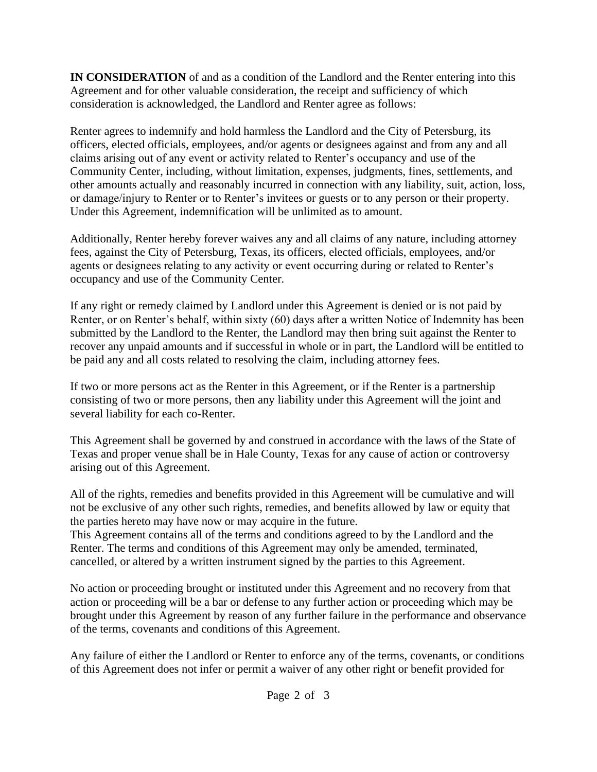**IN CONSIDERATION** of and as a condition of the Landlord and the Renter entering into this Agreement and for other valuable consideration, the receipt and sufficiency of which consideration is acknowledged, the Landlord and Renter agree as follows:

Renter agrees to indemnify and hold harmless the Landlord and the City of Petersburg, its officers, elected officials, employees, and/or agents or designees against and from any and all claims arising out of any event or activity related to Renter's occupancy and use of the Community Center, including, without limitation, expenses, judgments, fines, settlements, and other amounts actually and reasonably incurred in connection with any liability, suit, action, loss, or damage/injury to Renter or to Renter's invitees or guests or to any person or their property. Under this Agreement, indemnification will be unlimited as to amount.

Additionally, Renter hereby forever waives any and all claims of any nature, including attorney fees, against the City of Petersburg, Texas, its officers, elected officials, employees, and/or agents or designees relating to any activity or event occurring during or related to Renter's occupancy and use of the Community Center.

If any right or remedy claimed by Landlord under this Agreement is denied or is not paid by Renter, or on Renter's behalf, within sixty (60) days after a written Notice of Indemnity has been submitted by the Landlord to the Renter, the Landlord may then bring suit against the Renter to recover any unpaid amounts and if successful in whole or in part, the Landlord will be entitled to be paid any and all costs related to resolving the claim, including attorney fees.

If two or more persons act as the Renter in this Agreement, or if the Renter is a partnership consisting of two or more persons, then any liability under this Agreement will the joint and several liability for each co-Renter.

This Agreement shall be governed by and construed in accordance with the laws of the State of Texas and proper venue shall be in Hale County, Texas for any cause of action or controversy arising out of this Agreement.

All of the rights, remedies and benefits provided in this Agreement will be cumulative and will not be exclusive of any other such rights, remedies, and benefits allowed by law or equity that the parties hereto may have now or may acquire in the future.

This Agreement contains all of the terms and conditions agreed to by the Landlord and the Renter. The terms and conditions of this Agreement may only be amended, terminated, cancelled, or altered by a written instrument signed by the parties to this Agreement.

No action or proceeding brought or instituted under this Agreement and no recovery from that action or proceeding will be a bar or defense to any further action or proceeding which may be brought under this Agreement by reason of any further failure in the performance and observance of the terms, covenants and conditions of this Agreement.

Any failure of either the Landlord or Renter to enforce any of the terms, covenants, or conditions of this Agreement does not infer or permit a waiver of any other right or benefit provided for